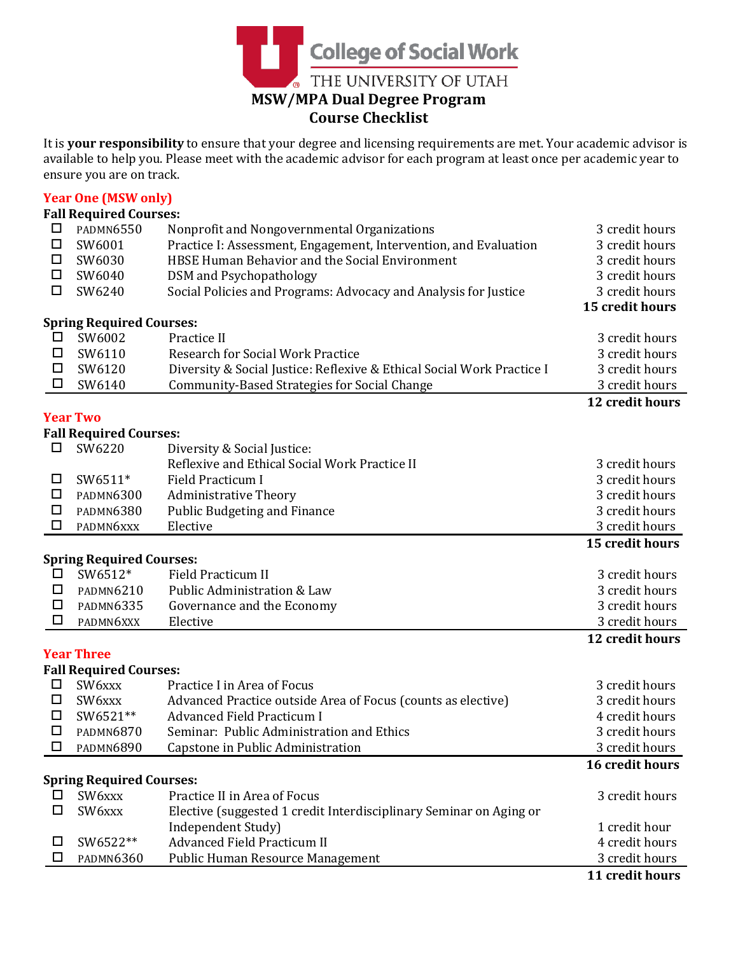

It is **your responsibility** to ensure that your degree and licensing requirements are met. Your academic advisor is available to help you. Please meet with the academic advisor for each program at least once per academic year to ensure you are on track.

# **Year One (MSW only)**

| □<br><b>PADMN6550</b><br>Nonprofit and Nongovernmental Organizations<br>3 credit hours<br>$\Box$<br>SW6001<br>Practice I: Assessment, Engagement, Intervention, and Evaluation<br>3 credit hours<br>SW6030<br>HBSE Human Behavior and the Social Environment<br>3 credit hours<br>□<br>$\Box$<br>SW6040<br><b>DSM</b> and Psychopathology<br>3 credit hours<br>$\Box$<br>Social Policies and Programs: Advocacy and Analysis for Justice<br>3 credit hours<br>SW6240<br>15 credit hours<br><b>Spring Required Courses:</b><br>SW6002<br>Practice II<br>3 credit hours<br>$\Box$<br>□<br>SW6110<br>Research for Social Work Practice<br>3 credit hours<br>Diversity & Social Justice: Reflexive & Ethical Social Work Practice I<br>3 credit hours<br>SW6120<br>□<br>$\Box$<br>SW6140<br><b>Community-Based Strategies for Social Change</b><br>3 credit hours<br>12 credit hours<br><b>Year Two</b><br><b>Fall Required Courses:</b><br>SW6220<br>□<br>Diversity & Social Justice:<br>Reflexive and Ethical Social Work Practice II<br>3 credit hours<br>SW6511*<br><b>Field Practicum I</b><br>3 credit hours<br>□<br>□<br><b>PADMN6300</b><br><b>Administrative Theory</b><br>3 credit hours<br>$\Box$<br>Public Budgeting and Finance<br>3 credit hours<br>PADMN6380<br>□<br>PADMN6xxx<br>Elective<br>3 credit hours<br>15 credit hours<br><b>Spring Required Courses:</b><br>SW6512*<br><b>Field Practicum II</b><br>$\Box$<br>3 credit hours<br>□<br>Public Administration & Law<br>3 credit hours<br><b>PADMN6210</b><br>3 credit hours<br>□<br><b>PADMN6335</b><br>Governance and the Economy<br>3 credit hours<br>□<br>PADMN6XXX<br>Elective<br>12 credit hours<br><b>Year Three</b><br><b>Fall Required Courses:</b><br>Practice I in Area of Focus<br>3 credit hours<br>$\Box$<br>SW6xxx<br>3 credit hours<br>□<br>SW6xxx<br>Advanced Practice outside Area of Focus (counts as elective)<br>SW6521**<br><b>Advanced Field Practicum I</b><br>4 credit hours<br>□<br>$\Box$<br><b>PADMN6870</b><br>Seminar: Public Administration and Ethics<br>3 credit hours<br>□<br><b>PADMN6890</b><br>Capstone in Public Administration<br>3 credit hours<br>16 credit hours<br><b>Spring Required Courses:</b><br>SW6xxx<br>3 credit hours<br>Practice II in Area of Focus<br>□<br>SW6xxx<br>Elective (suggested 1 credit Interdisciplinary Seminar on Aging or<br>□<br>Independent Study)<br>1 credit hour<br>SW6522**<br><b>Advanced Field Practicum II</b><br>4 credit hours<br>□<br><b>PADMN6360</b><br>Public Human Resource Management<br>3 credit hours<br>ப |  | <b>Fall Required Courses:</b> |  |  |
|---------------------------------------------------------------------------------------------------------------------------------------------------------------------------------------------------------------------------------------------------------------------------------------------------------------------------------------------------------------------------------------------------------------------------------------------------------------------------------------------------------------------------------------------------------------------------------------------------------------------------------------------------------------------------------------------------------------------------------------------------------------------------------------------------------------------------------------------------------------------------------------------------------------------------------------------------------------------------------------------------------------------------------------------------------------------------------------------------------------------------------------------------------------------------------------------------------------------------------------------------------------------------------------------------------------------------------------------------------------------------------------------------------------------------------------------------------------------------------------------------------------------------------------------------------------------------------------------------------------------------------------------------------------------------------------------------------------------------------------------------------------------------------------------------------------------------------------------------------------------------------------------------------------------------------------------------------------------------------------------------------------------------------------------------------------------------------------------------------------------------------------------------------------------------------------------------------------------------------------------------------------------------------------------------------------------------------------------------------------------------------------------------------------------------------------------------------------------------------------------------------------------------------------------------------------------|--|-------------------------------|--|--|
|                                                                                                                                                                                                                                                                                                                                                                                                                                                                                                                                                                                                                                                                                                                                                                                                                                                                                                                                                                                                                                                                                                                                                                                                                                                                                                                                                                                                                                                                                                                                                                                                                                                                                                                                                                                                                                                                                                                                                                                                                                                                                                                                                                                                                                                                                                                                                                                                                                                                                                                                                                     |  |                               |  |  |
|                                                                                                                                                                                                                                                                                                                                                                                                                                                                                                                                                                                                                                                                                                                                                                                                                                                                                                                                                                                                                                                                                                                                                                                                                                                                                                                                                                                                                                                                                                                                                                                                                                                                                                                                                                                                                                                                                                                                                                                                                                                                                                                                                                                                                                                                                                                                                                                                                                                                                                                                                                     |  |                               |  |  |
|                                                                                                                                                                                                                                                                                                                                                                                                                                                                                                                                                                                                                                                                                                                                                                                                                                                                                                                                                                                                                                                                                                                                                                                                                                                                                                                                                                                                                                                                                                                                                                                                                                                                                                                                                                                                                                                                                                                                                                                                                                                                                                                                                                                                                                                                                                                                                                                                                                                                                                                                                                     |  |                               |  |  |
|                                                                                                                                                                                                                                                                                                                                                                                                                                                                                                                                                                                                                                                                                                                                                                                                                                                                                                                                                                                                                                                                                                                                                                                                                                                                                                                                                                                                                                                                                                                                                                                                                                                                                                                                                                                                                                                                                                                                                                                                                                                                                                                                                                                                                                                                                                                                                                                                                                                                                                                                                                     |  |                               |  |  |
|                                                                                                                                                                                                                                                                                                                                                                                                                                                                                                                                                                                                                                                                                                                                                                                                                                                                                                                                                                                                                                                                                                                                                                                                                                                                                                                                                                                                                                                                                                                                                                                                                                                                                                                                                                                                                                                                                                                                                                                                                                                                                                                                                                                                                                                                                                                                                                                                                                                                                                                                                                     |  |                               |  |  |
|                                                                                                                                                                                                                                                                                                                                                                                                                                                                                                                                                                                                                                                                                                                                                                                                                                                                                                                                                                                                                                                                                                                                                                                                                                                                                                                                                                                                                                                                                                                                                                                                                                                                                                                                                                                                                                                                                                                                                                                                                                                                                                                                                                                                                                                                                                                                                                                                                                                                                                                                                                     |  |                               |  |  |
|                                                                                                                                                                                                                                                                                                                                                                                                                                                                                                                                                                                                                                                                                                                                                                                                                                                                                                                                                                                                                                                                                                                                                                                                                                                                                                                                                                                                                                                                                                                                                                                                                                                                                                                                                                                                                                                                                                                                                                                                                                                                                                                                                                                                                                                                                                                                                                                                                                                                                                                                                                     |  |                               |  |  |
|                                                                                                                                                                                                                                                                                                                                                                                                                                                                                                                                                                                                                                                                                                                                                                                                                                                                                                                                                                                                                                                                                                                                                                                                                                                                                                                                                                                                                                                                                                                                                                                                                                                                                                                                                                                                                                                                                                                                                                                                                                                                                                                                                                                                                                                                                                                                                                                                                                                                                                                                                                     |  |                               |  |  |
|                                                                                                                                                                                                                                                                                                                                                                                                                                                                                                                                                                                                                                                                                                                                                                                                                                                                                                                                                                                                                                                                                                                                                                                                                                                                                                                                                                                                                                                                                                                                                                                                                                                                                                                                                                                                                                                                                                                                                                                                                                                                                                                                                                                                                                                                                                                                                                                                                                                                                                                                                                     |  |                               |  |  |
|                                                                                                                                                                                                                                                                                                                                                                                                                                                                                                                                                                                                                                                                                                                                                                                                                                                                                                                                                                                                                                                                                                                                                                                                                                                                                                                                                                                                                                                                                                                                                                                                                                                                                                                                                                                                                                                                                                                                                                                                                                                                                                                                                                                                                                                                                                                                                                                                                                                                                                                                                                     |  |                               |  |  |
|                                                                                                                                                                                                                                                                                                                                                                                                                                                                                                                                                                                                                                                                                                                                                                                                                                                                                                                                                                                                                                                                                                                                                                                                                                                                                                                                                                                                                                                                                                                                                                                                                                                                                                                                                                                                                                                                                                                                                                                                                                                                                                                                                                                                                                                                                                                                                                                                                                                                                                                                                                     |  |                               |  |  |
|                                                                                                                                                                                                                                                                                                                                                                                                                                                                                                                                                                                                                                                                                                                                                                                                                                                                                                                                                                                                                                                                                                                                                                                                                                                                                                                                                                                                                                                                                                                                                                                                                                                                                                                                                                                                                                                                                                                                                                                                                                                                                                                                                                                                                                                                                                                                                                                                                                                                                                                                                                     |  |                               |  |  |
|                                                                                                                                                                                                                                                                                                                                                                                                                                                                                                                                                                                                                                                                                                                                                                                                                                                                                                                                                                                                                                                                                                                                                                                                                                                                                                                                                                                                                                                                                                                                                                                                                                                                                                                                                                                                                                                                                                                                                                                                                                                                                                                                                                                                                                                                                                                                                                                                                                                                                                                                                                     |  |                               |  |  |
|                                                                                                                                                                                                                                                                                                                                                                                                                                                                                                                                                                                                                                                                                                                                                                                                                                                                                                                                                                                                                                                                                                                                                                                                                                                                                                                                                                                                                                                                                                                                                                                                                                                                                                                                                                                                                                                                                                                                                                                                                                                                                                                                                                                                                                                                                                                                                                                                                                                                                                                                                                     |  |                               |  |  |
|                                                                                                                                                                                                                                                                                                                                                                                                                                                                                                                                                                                                                                                                                                                                                                                                                                                                                                                                                                                                                                                                                                                                                                                                                                                                                                                                                                                                                                                                                                                                                                                                                                                                                                                                                                                                                                                                                                                                                                                                                                                                                                                                                                                                                                                                                                                                                                                                                                                                                                                                                                     |  |                               |  |  |
|                                                                                                                                                                                                                                                                                                                                                                                                                                                                                                                                                                                                                                                                                                                                                                                                                                                                                                                                                                                                                                                                                                                                                                                                                                                                                                                                                                                                                                                                                                                                                                                                                                                                                                                                                                                                                                                                                                                                                                                                                                                                                                                                                                                                                                                                                                                                                                                                                                                                                                                                                                     |  |                               |  |  |
|                                                                                                                                                                                                                                                                                                                                                                                                                                                                                                                                                                                                                                                                                                                                                                                                                                                                                                                                                                                                                                                                                                                                                                                                                                                                                                                                                                                                                                                                                                                                                                                                                                                                                                                                                                                                                                                                                                                                                                                                                                                                                                                                                                                                                                                                                                                                                                                                                                                                                                                                                                     |  |                               |  |  |
|                                                                                                                                                                                                                                                                                                                                                                                                                                                                                                                                                                                                                                                                                                                                                                                                                                                                                                                                                                                                                                                                                                                                                                                                                                                                                                                                                                                                                                                                                                                                                                                                                                                                                                                                                                                                                                                                                                                                                                                                                                                                                                                                                                                                                                                                                                                                                                                                                                                                                                                                                                     |  |                               |  |  |
|                                                                                                                                                                                                                                                                                                                                                                                                                                                                                                                                                                                                                                                                                                                                                                                                                                                                                                                                                                                                                                                                                                                                                                                                                                                                                                                                                                                                                                                                                                                                                                                                                                                                                                                                                                                                                                                                                                                                                                                                                                                                                                                                                                                                                                                                                                                                                                                                                                                                                                                                                                     |  |                               |  |  |
|                                                                                                                                                                                                                                                                                                                                                                                                                                                                                                                                                                                                                                                                                                                                                                                                                                                                                                                                                                                                                                                                                                                                                                                                                                                                                                                                                                                                                                                                                                                                                                                                                                                                                                                                                                                                                                                                                                                                                                                                                                                                                                                                                                                                                                                                                                                                                                                                                                                                                                                                                                     |  |                               |  |  |
|                                                                                                                                                                                                                                                                                                                                                                                                                                                                                                                                                                                                                                                                                                                                                                                                                                                                                                                                                                                                                                                                                                                                                                                                                                                                                                                                                                                                                                                                                                                                                                                                                                                                                                                                                                                                                                                                                                                                                                                                                                                                                                                                                                                                                                                                                                                                                                                                                                                                                                                                                                     |  |                               |  |  |
|                                                                                                                                                                                                                                                                                                                                                                                                                                                                                                                                                                                                                                                                                                                                                                                                                                                                                                                                                                                                                                                                                                                                                                                                                                                                                                                                                                                                                                                                                                                                                                                                                                                                                                                                                                                                                                                                                                                                                                                                                                                                                                                                                                                                                                                                                                                                                                                                                                                                                                                                                                     |  |                               |  |  |
|                                                                                                                                                                                                                                                                                                                                                                                                                                                                                                                                                                                                                                                                                                                                                                                                                                                                                                                                                                                                                                                                                                                                                                                                                                                                                                                                                                                                                                                                                                                                                                                                                                                                                                                                                                                                                                                                                                                                                                                                                                                                                                                                                                                                                                                                                                                                                                                                                                                                                                                                                                     |  |                               |  |  |
|                                                                                                                                                                                                                                                                                                                                                                                                                                                                                                                                                                                                                                                                                                                                                                                                                                                                                                                                                                                                                                                                                                                                                                                                                                                                                                                                                                                                                                                                                                                                                                                                                                                                                                                                                                                                                                                                                                                                                                                                                                                                                                                                                                                                                                                                                                                                                                                                                                                                                                                                                                     |  |                               |  |  |
|                                                                                                                                                                                                                                                                                                                                                                                                                                                                                                                                                                                                                                                                                                                                                                                                                                                                                                                                                                                                                                                                                                                                                                                                                                                                                                                                                                                                                                                                                                                                                                                                                                                                                                                                                                                                                                                                                                                                                                                                                                                                                                                                                                                                                                                                                                                                                                                                                                                                                                                                                                     |  |                               |  |  |
|                                                                                                                                                                                                                                                                                                                                                                                                                                                                                                                                                                                                                                                                                                                                                                                                                                                                                                                                                                                                                                                                                                                                                                                                                                                                                                                                                                                                                                                                                                                                                                                                                                                                                                                                                                                                                                                                                                                                                                                                                                                                                                                                                                                                                                                                                                                                                                                                                                                                                                                                                                     |  |                               |  |  |
|                                                                                                                                                                                                                                                                                                                                                                                                                                                                                                                                                                                                                                                                                                                                                                                                                                                                                                                                                                                                                                                                                                                                                                                                                                                                                                                                                                                                                                                                                                                                                                                                                                                                                                                                                                                                                                                                                                                                                                                                                                                                                                                                                                                                                                                                                                                                                                                                                                                                                                                                                                     |  |                               |  |  |
|                                                                                                                                                                                                                                                                                                                                                                                                                                                                                                                                                                                                                                                                                                                                                                                                                                                                                                                                                                                                                                                                                                                                                                                                                                                                                                                                                                                                                                                                                                                                                                                                                                                                                                                                                                                                                                                                                                                                                                                                                                                                                                                                                                                                                                                                                                                                                                                                                                                                                                                                                                     |  |                               |  |  |
|                                                                                                                                                                                                                                                                                                                                                                                                                                                                                                                                                                                                                                                                                                                                                                                                                                                                                                                                                                                                                                                                                                                                                                                                                                                                                                                                                                                                                                                                                                                                                                                                                                                                                                                                                                                                                                                                                                                                                                                                                                                                                                                                                                                                                                                                                                                                                                                                                                                                                                                                                                     |  |                               |  |  |
|                                                                                                                                                                                                                                                                                                                                                                                                                                                                                                                                                                                                                                                                                                                                                                                                                                                                                                                                                                                                                                                                                                                                                                                                                                                                                                                                                                                                                                                                                                                                                                                                                                                                                                                                                                                                                                                                                                                                                                                                                                                                                                                                                                                                                                                                                                                                                                                                                                                                                                                                                                     |  |                               |  |  |
|                                                                                                                                                                                                                                                                                                                                                                                                                                                                                                                                                                                                                                                                                                                                                                                                                                                                                                                                                                                                                                                                                                                                                                                                                                                                                                                                                                                                                                                                                                                                                                                                                                                                                                                                                                                                                                                                                                                                                                                                                                                                                                                                                                                                                                                                                                                                                                                                                                                                                                                                                                     |  |                               |  |  |
|                                                                                                                                                                                                                                                                                                                                                                                                                                                                                                                                                                                                                                                                                                                                                                                                                                                                                                                                                                                                                                                                                                                                                                                                                                                                                                                                                                                                                                                                                                                                                                                                                                                                                                                                                                                                                                                                                                                                                                                                                                                                                                                                                                                                                                                                                                                                                                                                                                                                                                                                                                     |  |                               |  |  |
|                                                                                                                                                                                                                                                                                                                                                                                                                                                                                                                                                                                                                                                                                                                                                                                                                                                                                                                                                                                                                                                                                                                                                                                                                                                                                                                                                                                                                                                                                                                                                                                                                                                                                                                                                                                                                                                                                                                                                                                                                                                                                                                                                                                                                                                                                                                                                                                                                                                                                                                                                                     |  |                               |  |  |
|                                                                                                                                                                                                                                                                                                                                                                                                                                                                                                                                                                                                                                                                                                                                                                                                                                                                                                                                                                                                                                                                                                                                                                                                                                                                                                                                                                                                                                                                                                                                                                                                                                                                                                                                                                                                                                                                                                                                                                                                                                                                                                                                                                                                                                                                                                                                                                                                                                                                                                                                                                     |  |                               |  |  |
|                                                                                                                                                                                                                                                                                                                                                                                                                                                                                                                                                                                                                                                                                                                                                                                                                                                                                                                                                                                                                                                                                                                                                                                                                                                                                                                                                                                                                                                                                                                                                                                                                                                                                                                                                                                                                                                                                                                                                                                                                                                                                                                                                                                                                                                                                                                                                                                                                                                                                                                                                                     |  |                               |  |  |
|                                                                                                                                                                                                                                                                                                                                                                                                                                                                                                                                                                                                                                                                                                                                                                                                                                                                                                                                                                                                                                                                                                                                                                                                                                                                                                                                                                                                                                                                                                                                                                                                                                                                                                                                                                                                                                                                                                                                                                                                                                                                                                                                                                                                                                                                                                                                                                                                                                                                                                                                                                     |  |                               |  |  |
|                                                                                                                                                                                                                                                                                                                                                                                                                                                                                                                                                                                                                                                                                                                                                                                                                                                                                                                                                                                                                                                                                                                                                                                                                                                                                                                                                                                                                                                                                                                                                                                                                                                                                                                                                                                                                                                                                                                                                                                                                                                                                                                                                                                                                                                                                                                                                                                                                                                                                                                                                                     |  |                               |  |  |
|                                                                                                                                                                                                                                                                                                                                                                                                                                                                                                                                                                                                                                                                                                                                                                                                                                                                                                                                                                                                                                                                                                                                                                                                                                                                                                                                                                                                                                                                                                                                                                                                                                                                                                                                                                                                                                                                                                                                                                                                                                                                                                                                                                                                                                                                                                                                                                                                                                                                                                                                                                     |  |                               |  |  |
|                                                                                                                                                                                                                                                                                                                                                                                                                                                                                                                                                                                                                                                                                                                                                                                                                                                                                                                                                                                                                                                                                                                                                                                                                                                                                                                                                                                                                                                                                                                                                                                                                                                                                                                                                                                                                                                                                                                                                                                                                                                                                                                                                                                                                                                                                                                                                                                                                                                                                                                                                                     |  |                               |  |  |
|                                                                                                                                                                                                                                                                                                                                                                                                                                                                                                                                                                                                                                                                                                                                                                                                                                                                                                                                                                                                                                                                                                                                                                                                                                                                                                                                                                                                                                                                                                                                                                                                                                                                                                                                                                                                                                                                                                                                                                                                                                                                                                                                                                                                                                                                                                                                                                                                                                                                                                                                                                     |  |                               |  |  |
|                                                                                                                                                                                                                                                                                                                                                                                                                                                                                                                                                                                                                                                                                                                                                                                                                                                                                                                                                                                                                                                                                                                                                                                                                                                                                                                                                                                                                                                                                                                                                                                                                                                                                                                                                                                                                                                                                                                                                                                                                                                                                                                                                                                                                                                                                                                                                                                                                                                                                                                                                                     |  |                               |  |  |
|                                                                                                                                                                                                                                                                                                                                                                                                                                                                                                                                                                                                                                                                                                                                                                                                                                                                                                                                                                                                                                                                                                                                                                                                                                                                                                                                                                                                                                                                                                                                                                                                                                                                                                                                                                                                                                                                                                                                                                                                                                                                                                                                                                                                                                                                                                                                                                                                                                                                                                                                                                     |  |                               |  |  |

**11 credit hours**